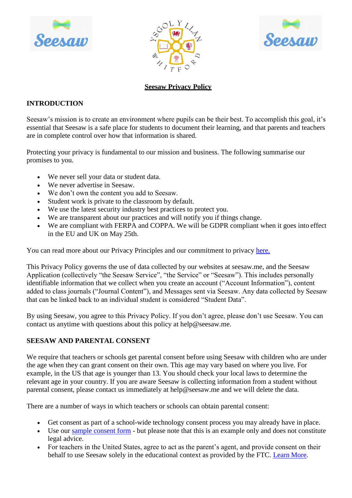





# **Seesaw Privacy Policy**

# **INTRODUCTION**

Seesaw's mission is to create an environment where pupils can be their best. To accomplish this goal, it's essential that Seesaw is a safe place for students to document their learning, and that parents and teachers are in complete control over how that information is shared.

Protecting your privacy is fundamental to our mission and business. The following summarise our promises to you.

- We never sell your data or student data.
- We never advertise in Seesaw.
- We don't own the content you add to Seesaw.
- Student work is private to the classroom by default.
- We use the latest security industry best practices to protect you.
- We are transparent about our practices and will notify you if things change.
- We are compliant with FERPA and COPPA. We will be GDPR compliant when it goes into effect in the EU and UK on May 25th.

You can read more about our Privacy Principles and our commitment to privacy [here.](https://web.seesaw.me/privacy)

This Privacy Policy governs the use of data collected by our websites at seesaw.me, and the Seesaw Application (collectively "the Seesaw Service", "the Service" or "Seesaw"). This includes personally identifiable information that we collect when you create an account ("Account Information"), content added to class journals ("Journal Content"), and Messages sent via Seesaw. Any data collected by Seesaw that can be linked back to an individual student is considered "Student Data".

By using Seesaw, you agree to this Privacy Policy. If you don't agree, please don't use Seesaw. You can contact us anytime with questions about this policy [at help@seesaw.me.](mailto:help@seesaw.me)

# **SEESAW AND PARENTAL CONSENT**

We require that teachers or schools get parental consent before using Seesaw with children who are under the age when they can grant consent on their own. This age may vary based on where you live. For example, in the US that age is younger than 13. You should check your local laws to determine the relevant age in your country. If you are aware Seesaw is collecting information from a student without parental consent, please contact us immediately [at help@seesaw.me a](mailto:help@seesaw.me)nd we will delete the data.

There are a number of ways in which teachers or schools can obtain parental consent:

- Get consent as part of a school-wide technology consent process you may already have in place.
- Use our [sample consent form](https://drive.google.com/drive/folders/1COz35BAI5Da7wjovnv_0rjAeH6jq9EWX) but please note that this is an example only and does not constitute legal advice.
- For teachers in the United States, agree to act as the parent's agent, and provide consent on their behalf to use Seesaw solely in the educational context as provided by the FTC. Learn [More.](https://www.ftc.gov/tips-advice/business-center/guidance/complying-coppa-frequently-asked-questions#Schools)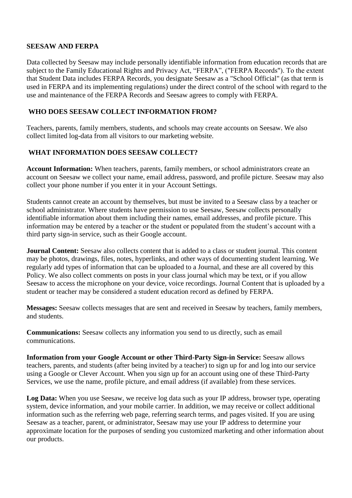#### **SEESAW AND FERPA**

Data collected by Seesaw may include personally identifiable information from education records that are subject to the Family Educational Rights and Privacy Act, "FERPA", ("FERPA Records"). To the extent that Student Data includes FERPA Records, you designate Seesaw as a "School Official" (as that term is used in FERPA and its implementing regulations) under the direct control of the school with regard to the use and maintenance of the FERPA Records and Seesaw agrees to comply with FERPA.

#### **WHO DOES SEESAW COLLECT INFORMATION FROM?**

Teachers, parents, family members, students, and schools may create accounts on Seesaw. We also collect limited log-data from all visitors to our marketing website.

# **WHAT INFORMATION DOES SEESAW COLLECT?**

**Account Information:** When teachers, parents, family members, or school administrators create an account on Seesaw we collect your name, email address, password, and profile picture. Seesaw may also collect your phone number if you enter it in your Account Settings.

Students cannot create an account by themselves, but must be invited to a Seesaw class by a teacher or school administrator. Where students have permission to use Seesaw, Seesaw collects personally identifiable information about them including their names, email addresses, and profile picture. This information may be entered by a teacher or the student or populated from the student's account with a third party sign-in service, such as their Google account.

**Journal Content:** Seesaw also collects content that is added to a class or student journal. This content may be photos, drawings, files, notes, hyperlinks, and other ways of documenting student learning. We regularly add types of information that can be uploaded to a Journal, and these are all covered by this Policy. We also collect comments on posts in your class journal which may be text, or if you allow Seesaw to access the microphone on your device, voice recordings. Journal Content that is uploaded by a student or teacher may be considered a student education record as defined by FERPA.

**Messages:** Seesaw collects messages that are sent and received in Seesaw by teachers, family members, and students.

**Communications:** Seesaw collects any information you send to us directly, such as email communications.

**Information from your Google Account or other Third-Party Sign-in Service:** Seesaw allows teachers, parents, and students (after being invited by a teacher) to sign up for and log into our service using a Google or Clever Account. When you sign up for an account using one of these Third-Party Services, we use the name, profile picture, and email address (if available) from these services.

**Log Data:** When you use Seesaw, we receive log data such as your IP address, browser type, operating system, device information, and your mobile carrier. In addition, we may receive or collect additional information such as the referring web page, referring search terms, and pages visited. If you are using Seesaw as a teacher, parent, or administrator, Seesaw may use your IP address to determine your approximate location for the purposes of sending you customized marketing and other information about our products.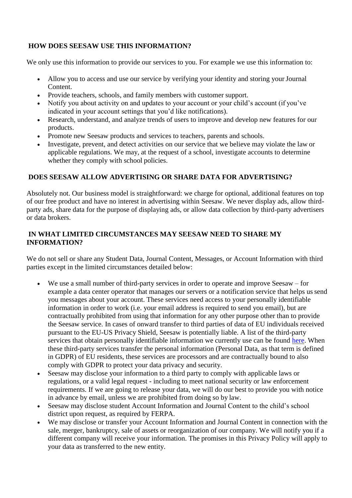### **HOW DOES SEESAW USE THIS INFORMATION?**

We only use this information to provide our services to you. For example we use this information to:

- Allow you to access and use our service by verifying your identity and storing your Journal Content.
- Provide teachers, schools, and family members with customer support.
- Notify you about activity on and updates to your account or your child's account (if you've indicated in your account settings that you'd like notifications).
- Research, understand, and analyze trends of users to improve and develop new features for our products.
- Promote new Seesaw products and services to teachers, parents and schools.
- Investigate, prevent, and detect activities on our service that we believe may violate the law or applicable regulations. We may, at the request of a school, investigate accounts to determine whether they comply with school policies.

#### **DOES SEESAW ALLOW ADVERTISING OR SHARE DATA FOR ADVERTISING?**

Absolutely not. Our business model is straightforward: we charge for optional, additional features on top of our free product and have no interest in advertising within Seesaw. We never display ads, allow thirdparty ads, share data for the purpose of displaying ads, or allow data collection by third-party advertisers or data brokers.

#### **IN WHAT LIMITED CIRCUMSTANCES MAY SEESAW NEED TO SHARE MY INFORMATION?**

We do not sell or share any Student Data, Journal Content, Messages, or Account Information with third parties except in the limited circumstances detailed below:

- We use a small number of third-party services in order to operate and improve Seesaw for example a data center operator that manages our servers or a notification service that helps us send you messages about your account. These services need access to your personally identifiable information in order to work (i.e. your email address is required to send you email), but are contractually prohibited from using that information for any other purpose other than to provide the Seesaw service. In cases of onward transfer to third parties of data of EU individuals received pursuant to the EU-US Privacy Shield, Seesaw is potentially liable. A list of the third-party services that obtain personally identifiable information we currently use can be found [here.](https://help.seesaw.me/hc/en-us/articles/360002362152-Who-are-Seesaw-s-subprocessors-) When these third-party services transfer the personal information (Personal Data, as that term is defined in GDPR) of EU residents, these services are processors and are contractually bound to also comply with GDPR to protect your data privacy and security.
- Seesaw may disclose your information to a third party to comply with applicable laws or regulations, or a valid legal request - including to meet national security or law enforcement requirements. If we are going to release your data, we will do our best to provide you with notice in advance by email, unless we are prohibited from doing so by law.
- Seesaw may disclose student Account Information and Journal Content to the child's school district upon request, as required by FERPA.
- We may disclose or transfer your Account Information and Journal Content in connection with the sale, merger, bankruptcy, sale of assets or reorganization of our company. We will notify you if a different company will receive your information. The promises in this Privacy Policy will apply to your data as transferred to the new entity.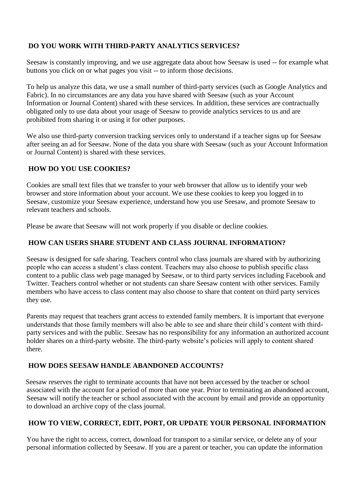# **DO YOU WORK WITH THIRD-PARTY ANALYTICS SERVICES?**

Seesaw is constantly improving, and we use aggregate data about how Seesaw is used -- for example what buttons you click on or what pages you visit -- to inform those decisions.

To help us analyze this data, we use a small number of third-party services (such as Google Analytics and Fabric). In no circumstances are any data you have shared with Seesaw (such as your Account Information or Journal Content) shared with these services. In addition, these services are contractually obligated only to use data about your usage of Seesaw to provide analytics services to us and are prohibited from sharing it or using it for other purposes.

We also use third-party conversion tracking services only to understand if a teacher signs up for Seesaw after seeing an ad for Seesaw. None of the data you share with Seesaw (such as your Account Information or Journal Content) is shared with these services.

### **HOW DO YOU USE COOKIES?**

Cookies are small text files that we transfer to your web browser that allow us to identify your web browser and store information about your account. We use these cookies to keep you logged in to Seesaw, customize your Seesaw experience, understand how you use Seesaw, and promote Seesaw to relevant teachers and schools.

Please be aware that Seesaw will not work properly if you disable or decline cookies.

### **HOW CAN USERS SHARE STUDENT AND CLASS JOURNAL INFORMATION?**

Seesaw is designed for safe sharing. Teachers control who class journals are shared with by authorizing people who can access a student's class content. Teachers may also choose to publish specific class content to a public class web page managed by Seesaw, or to third party services including Facebook and Twitter. Teachers control whether or not students can share Seesaw content with other services. Family members who have access to class content may also choose to share that content on third party services they use.

Parents may request that teachers grant access to extended family members. It is important that everyone understands that those family members will also be able to see and share their child's content with thirdparty services and with the public. Seesaw has no responsibility for any information an authorized account holder shares on a third-party website. The third-party website's policies will apply to content shared there.

# **HOW DOES SEESAW HANDLE ABANDONED ACCOUNTS?**

Seesaw reserves the right to terminate accounts that have not been accessed by the teacher or school associated with the account for a period of more than one year. Prior to terminating an abandoned account, Seesaw will notify the teacher or school associated with the account by email and provide an opportunity to download an archive copy of the class journal.

# **HOW TO VIEW, CORRECT, EDIT, PORT, OR UPDATE YOUR PERSONAL INFORMATION**

You have the right to access, correct, download for transport to a similar service, or delete any of your personal information collected by Seesaw. If you are a parent or teacher, you can update the information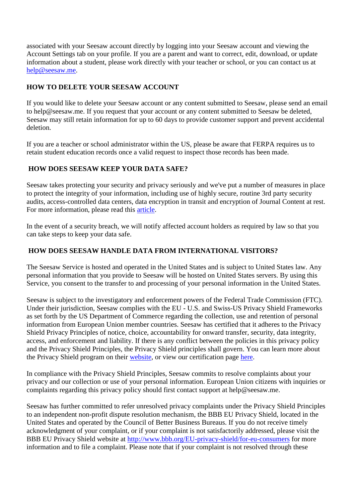associated with your Seesaw account directly by logging into your Seesaw account and viewing the Account Settings tab on your profile. If you are a parent and want to correct, edit, download, or update information about a student, please work directly with your teacher or school, or you can contact us at [help@seesaw.me.](mailto:help@seesaw.me)

### **HOW TO DELETE YOUR SEESAW ACCOUNT**

If you would like to delete your Seesaw account or any content submitted to Seesaw, please send an email [to help@seesaw.me.](mailto:help@seesaw.me) If you request that your account or any content submitted to Seesaw be deleted, Seesaw may still retain information for up to 60 days to provide customer support and prevent accidental deletion.

If you are a teacher or school administrator within the US, please be aware that FERPA requires us to retain student education records once a valid request to inspect those records has been made.

### **HOW DOES SEESAW KEEP YOUR DATA SAFE?**

Seesaw takes protecting your security and privacy seriously and we've put a number of measures in place to protect the integrity of your information, including use of highly secure, routine 3rd party security audits, access-controlled data centers, data encryption in transit and encryption of Journal Content at rest. For more information, please read this [article.](https://help.seesaw.me/hc/en-us/articles/203258429-How-does-Seesaw-help-keep-student-data-safe-)

In the event of a security breach, we will notify affected account holders as required by law so that you can take steps to keep your data safe.

#### **HOW DOES SEESAW HANDLE DATA FROM INTERNATIONAL VISITORS?**

The Seesaw Service is hosted and operated in the United States and is subject to United States law. Any personal information that you provide to Seesaw will be hosted on United States servers. By using this Service, you consent to the transfer to and processing of your personal information in the United States.

Seesaw is subject to the investigatory and enforcement powers of the Federal Trade Commission (FTC). Under their jurisdiction, Seesaw complies with the EU - U.S. and Swiss-US Privacy Shield Frameworks as set forth by the US Department of Commerce regarding the collection, use and retention of personal information from European Union member countries. Seesaw has certified that it adheres to the Privacy Shield Privacy Principles of notice, choice, accountability for onward transfer, security, data integrity, access, and enforcement and liability. If there is any conflict between the policies in this privacy policy and the Privacy Shield Principles, the Privacy Shield principles shall govern. You can learn more about the Privacy Shield program on their [website,](https://www.privacyshield.gov/welcome) or view our certification page [here.](https://www.privacyshield.gov/list)

In compliance with the Privacy Shield Principles, Seesaw commits to resolve complaints about your privacy and our collection or use of your personal information. European Union citizens with inquiries or complaints regarding this privacy policy should first contact support [at help@seesaw.me.](mailto:help@seesaw.me)

Seesaw has further committed to refer unresolved privacy complaints under the Privacy Shield Principles to an independent non-profit dispute resolution mechanism, the BBB EU Privacy Shield, located in the United States and operated by the Council of Better Business Bureaus. If you do not receive timely acknowledgment of your complaint, or if your complaint is not satisfactorily addressed, please visit the BBB EU Privacy Shield website at<http://www.bbb.org/EU-privacy-shield/for-eu-consumers> for more information and to file a complaint. Please note that if your complaint is not resolved through these